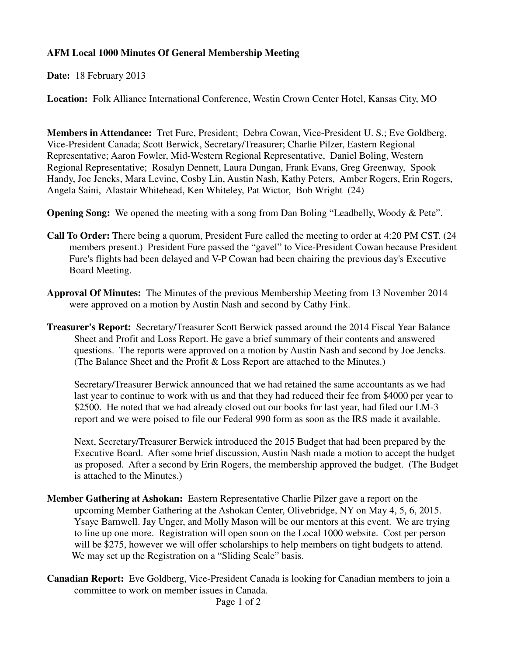## **AFM Local 1000 Minutes Of General Membership Meeting**

**Date:** 18 February 2013

**Location:** Folk Alliance International Conference, Westin Crown Center Hotel, Kansas City, MO

**Members in Attendance:** Tret Fure, President; Debra Cowan, Vice-President U. S.; Eve Goldberg, Vice-President Canada; Scott Berwick, Secretary/Treasurer; Charlie Pilzer, Eastern Regional Representative; Aaron Fowler, Mid-Western Regional Representative, Daniel Boling, Western Regional Representative; Rosalyn Dennett, Laura Dungan, Frank Evans, Greg Greenway, Spook Handy, Joe Jencks, Mara Levine, Cosby Lin, Austin Nash, Kathy Peters, Amber Rogers, Erin Rogers, Angela Saini, Alastair Whitehead, Ken Whiteley, Pat Wictor, Bob Wright (24)

**Opening Song:** We opened the meeting with a song from Dan Boling "Leadbelly, Woody & Pete".

- **Call To Order:** There being a quorum, President Fure called the meeting to order at 4:20 PM CST. (24 members present.) President Fure passed the "gavel" to Vice-President Cowan because President Fure's flights had been delayed and V-P Cowan had been chairing the previous day's Executive Board Meeting.
- **Approval Of Minutes:** The Minutes of the previous Membership Meeting from 13 November 2014 were approved on a motion by Austin Nash and second by Cathy Fink.
- **Treasurer's Report:** Secretary/Treasurer Scott Berwick passed around the 2014 Fiscal Year Balance Sheet and Profit and Loss Report. He gave a brief summary of their contents and answered questions. The reports were approved on a motion by Austin Nash and second by Joe Jencks. (The Balance Sheet and the Profit & Loss Report are attached to the Minutes.)

 Secretary/Treasurer Berwick announced that we had retained the same accountants as we had last year to continue to work with us and that they had reduced their fee from \$4000 per year to \$2500. He noted that we had already closed out our books for last year, had filed our LM-3 report and we were poised to file our Federal 990 form as soon as the IRS made it available.

 Next, Secretary/Treasurer Berwick introduced the 2015 Budget that had been prepared by the Executive Board. After some brief discussion, Austin Nash made a motion to accept the budget as proposed. After a second by Erin Rogers, the membership approved the budget. (The Budget is attached to the Minutes.)

- **Member Gathering at Ashokan:** Eastern Representative Charlie Pilzer gave a report on the upcoming Member Gathering at the Ashokan Center, Olivebridge, NY on May 4, 5, 6, 2015. Ysaye Barnwell. Jay Unger, and Molly Mason will be our mentors at this event. We are trying to line up one more. Registration will open soon on the Local 1000 website. Cost per person will be \$275, however we will offer scholarships to help members on tight budgets to attend. We may set up the Registration on a "Sliding Scale" basis.
- **Canadian Report:** Eve Goldberg, Vice-President Canada is looking for Canadian members to join a committee to work on member issues in Canada.

Page 1 of 2